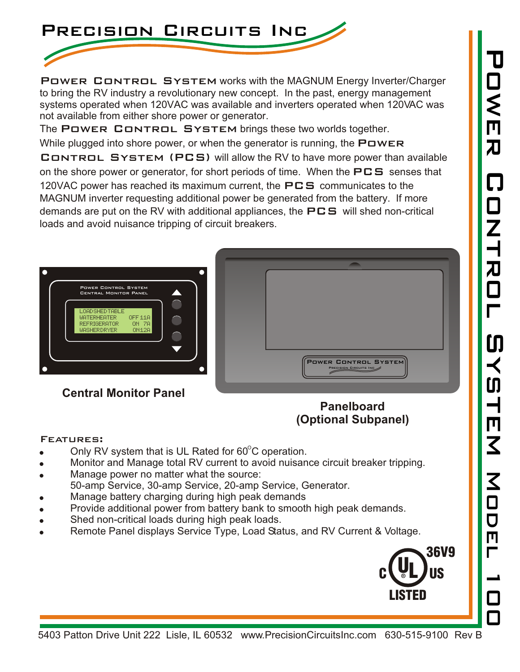

POWER CONTROL SYSTEM works with the MAGNUM Energy Inverter/Charger to bring the RV industry a revolutionary new concept. In the past, energy management systems operated when 120VAC was available and inverters operated when 120VAC was not available from either shore power or generator.

The POWER CONTROL SYSTEM brings these two worlds together.

While plugged into shore power, or when the generator is running, the  $\blacksquare\square w \square \blacksquare$ CONTROL SYSTEM (PCS) will allow the RV to have more power than available on the shore power or generator, for short periods of time. When the  $\mathsf{PCS}$  senses that 120VAC power has reached its maximum current, the  $PCS$  communicates to the MAGNUM inverter requesting additional power be generated from the battery. If more demands are put on the RV with additional appliances, the  $\mathsf{PCS}$  will shed non-critical loads and avoid nuisance tripping of circuit breakers.



## **(Optional Subpanel)**

## Features:

- Only RV system that is UL Rated for  $60^{\circ}$ C operation.
- ! Monitor and Manage total RV current to avoid nuisance circuit breaker tripping.
- Manage power no matter what the source: 50-amp Service, 30-amp Service, 20-amp Service, Generator.
- Manage battery charging during high peak demands
- ! Provide additional power from battery bank to smooth high peak demands.
- Shed non-critical loads during high peak loads.
- Remote Panel displays Service Type, Load Status, and RV Current & Voltage.